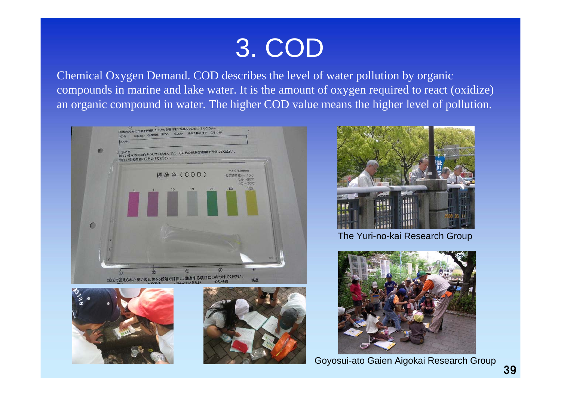# 3. COD

Chemical Oxygen Demand. COD describes the level of water pollution by organic compounds in marine and lake water. It is the amount of oxygen required to react (oxidize) an organic compound in water. The higher COD value means the higher level of pollution.









The Yuri-no-kai Research Group



Goyosui-ato Gaien Aigokai Research Group 39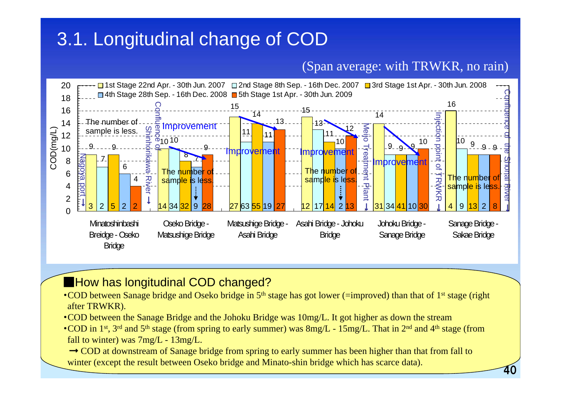## 3.1. Longitudinal change of COD

#### (Span average: with TRWKR, no rain)

40



#### ■How has longitudinal COD changed?

- COD between Sanage bridge and Oseko bridge in  $5<sup>th</sup>$  stage has got lower (=improved) than that of 1<sup>st</sup> stage (right after TRWKR).
- ・COD between the Sanage Bridge and the Johoku Bridge was 10mg/L. It got higher as down the stream
- COD in 1<sup>st</sup>, 3<sup>rd</sup> and 5<sup>th</sup> stage (from spring to early summer) was  $8mg/L 15mg/L$ . That in 2<sup>nd</sup> and 4<sup>th</sup> stage (from fall to winter) was 7mg/L - 13mg/L.
- $\rightarrow$  COD at downstream of Sanage bridge from spring to early summer has been higher than that from fall to winter (except the result between Oseko bridge and Minato-shin bridge which has scarce data).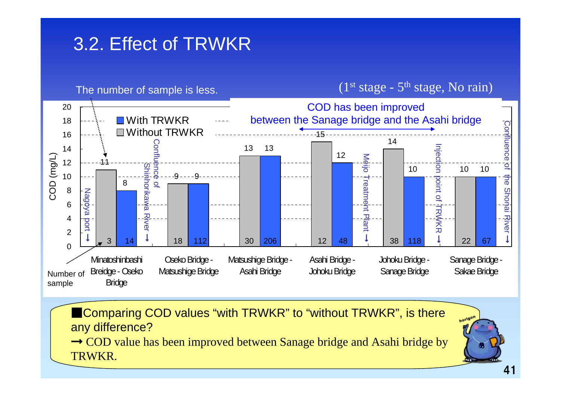## 3.2. Effect of TRWKR



■Comparing COD values "with TRWKR" to "without TRWKR", is there any difference?

 $\rightarrow$  COD value has been improved between Sanage bridge and Asahi bridge by TRWKR.

horigon